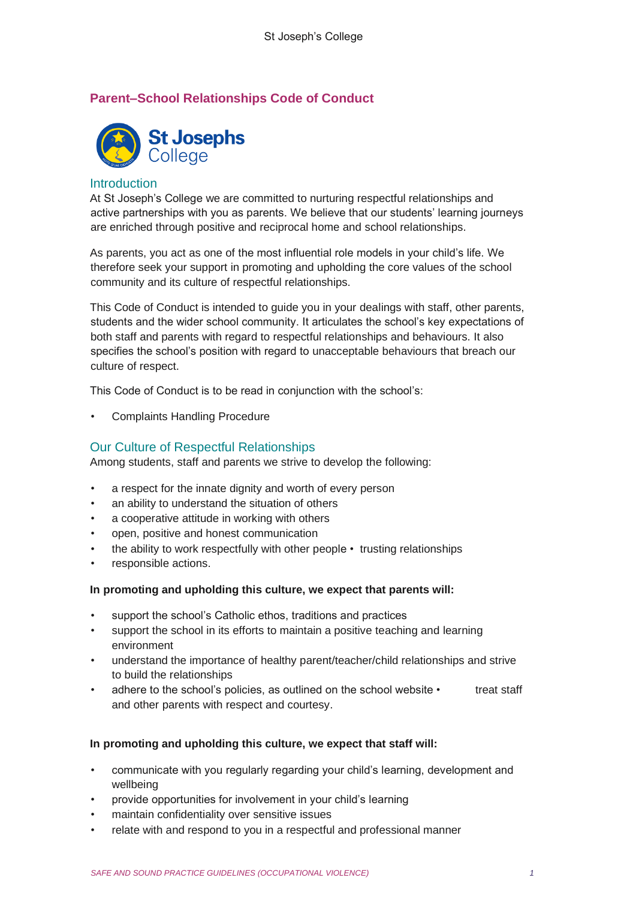# **Parent–School Relationships Code of Conduct**



#### **Introduction**

At St Joseph's College we are committed to nurturing respectful relationships and active partnerships with you as parents. We believe that our students' learning journeys are enriched through positive and reciprocal home and school relationships.

As parents, you act as one of the most influential role models in your child's life. We therefore seek your support in promoting and upholding the core values of the school community and its culture of respectful relationships.

This Code of Conduct is intended to guide you in your dealings with staff, other parents, students and the wider school community. It articulates the school's key expectations of both staff and parents with regard to respectful relationships and behaviours. It also specifies the school's position with regard to unacceptable behaviours that breach our culture of respect.

This Code of Conduct is to be read in conjunction with the school's:

• Complaints Handling Procedure

### Our Culture of Respectful Relationships

Among students, staff and parents we strive to develop the following:

- a respect for the innate dignity and worth of every person
- an ability to understand the situation of others
- a cooperative attitude in working with others
- open, positive and honest communication
- the ability to work respectfully with other people trusting relationships
- responsible actions.

#### **In promoting and upholding this culture, we expect that parents will:**

- support the school's Catholic ethos, traditions and practices
- support the school in its efforts to maintain a positive teaching and learning environment
- understand the importance of healthy parent/teacher/child relationships and strive to build the relationships
- adhere to the school's policies, as outlined on the school website treat staff and other parents with respect and courtesy.

#### **In promoting and upholding this culture, we expect that staff will:**

- communicate with you regularly regarding your child's learning, development and wellbeing
- provide opportunities for involvement in your child's learning
- maintain confidentiality over sensitive issues
- relate with and respond to you in a respectful and professional manner